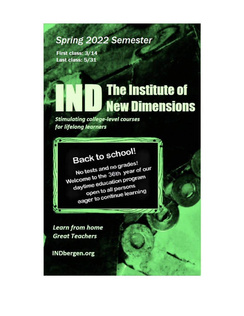## **Spring 2022 Semester**

First class: 3/14 Last class: 5/31

## **The Institute of New Dimensions**

**Stimulating college-level courses** for lifelong learners

# **Back to school!**

No tests and no grades! Welcome to the 36th year of our daytime education program open to all persons eager to continue learning

**Learn from home Great Teachers** 

**INDbergen.org**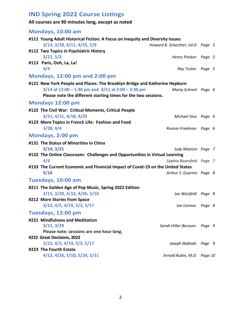## **IND Spring 2022 Course Listings**

## **All courses are 90 minutes long, except as noted**

| Mondays, 10:00 am                                                               |                                  |  |  |
|---------------------------------------------------------------------------------|----------------------------------|--|--|
| #111 Young Adult Historical Fiction: A Focus on Inequity and Diversity Issues   |                                  |  |  |
| 3/14, 3/28, 4/11, 4/25, 5/9                                                     | Howard B. Schechter, Ed.D Page 5 |  |  |
| #112 Two Topics in Psychiatric History                                          |                                  |  |  |
| 3/21, 5/2                                                                       | Henry Pinsker Page 5             |  |  |
| #113 Paris, Ooh, La, La!                                                        |                                  |  |  |
| 4/4                                                                             | Ray Turkin Page 5                |  |  |
| <b>Mondays, 12:00 pm and 2:00 pm</b>                                            |                                  |  |  |
| #121 New York People and Places: The Brooklyn Bridge and Katherine Hepburn      |                                  |  |  |
| $3/14$ at 12:00 – 1:30 pm and 4/11 at 2:00 – 3:30 pm                            | Marty Schneit Page 6             |  |  |
| Please note the different starting times for the two sessions.                  |                                  |  |  |
| Mondays 12:00 pm                                                                |                                  |  |  |
| #122 The Civil War: Critical Moments, Critical People                           |                                  |  |  |
| 3/21, 4/11, 4/18, 4/25                                                          | Michael Sica Page 6              |  |  |
| #123 More Topics in French Life: Fashion and Food                               |                                  |  |  |
| 3/28, 4/4                                                                       | Ronnie Friedman Page 6           |  |  |
| Mondays, 2:00 pm                                                                |                                  |  |  |
| #131 The Status of Minorities in China                                          |                                  |  |  |
| 3/14, 3/21                                                                      | Judy Manton Page 7               |  |  |
| #132 The Online Classroom: Challenges and Opportunities in Virtual Learning     |                                  |  |  |
| 4/4                                                                             | Sophia Rosenfeld Page 7          |  |  |
| #133 The Current Economic and Financial Impact of Covid-19 on the United States |                                  |  |  |
| 5/16                                                                            | Arthur S. Guarino Page 8         |  |  |
| Tuesdays, 10:00 am                                                              |                                  |  |  |
| #211 The Golden Age of Pop Music, Spring 2022 Edition                           |                                  |  |  |
| 3/15, 3/29, 4/12, 4/26, 5/10                                                    | Joe Weisfeld Page 8              |  |  |
| #212 More Stories from Space                                                    |                                  |  |  |
| 3/22, 4/5, 4/19, 5/3, 5/17                                                      | Joe Lennox Page 8                |  |  |
| Tuesdays, 12:00 pm                                                              |                                  |  |  |
| #221 Mindfulness and Meditation                                                 |                                  |  |  |
| 3/15, 3/29                                                                      | Sarah Hiller-Bersson Page 9      |  |  |
| Please note: sessions are one hour long.                                        |                                  |  |  |
| #222 Great Decisions, 2022                                                      |                                  |  |  |
| 3/22, 4/5, 4/19, 5/3, 5/17                                                      | Joseph Walinski Page 9           |  |  |
| #223 The Fourth Estate                                                          |                                  |  |  |
| 4/12, 4/26, 5/10, 5/24, 5/31                                                    | Arnold Rubin, M.D. Page 10       |  |  |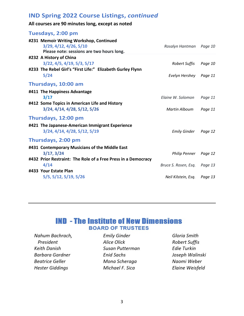## **IND Spring 2022 Course Listings,** *continued*

## **All courses are 90 minutes long, except as noted**

#### **Tuesdays, 2:00 pm**

| #231 Memoir Writing Workshop, Continued<br>3/29, 4/12, 4/26, 5/10<br>Please note: sessions are two hours long. | Rosalyn Hantman Page 10 |         |
|----------------------------------------------------------------------------------------------------------------|-------------------------|---------|
| #232 A History of China                                                                                        |                         |         |
| 3/22, 4/5, 4/19, 5/3, 5/17                                                                                     | Robert Suffis           | Page 10 |
| #233 The Rebel Girl's "First Life:" Elizabeth Gurley Flynn                                                     |                         |         |
| 5/24                                                                                                           | Evelyn Hershey Page 11  |         |
| Thursdays, 10:00 am                                                                                            |                         |         |
| #411 The Happiness Advantage                                                                                   |                         |         |
| 3/17                                                                                                           | Elaine W. Solomon       | Page 11 |
| #412 Some Topics in American Life and History<br>3/24, 4/14, 4/28, 5/12, 5/26                                  | <b>Martin Alboum</b>    | Page 11 |
| Thursdays, 12:00 pm                                                                                            |                         |         |
| #421 The Japanese-American Immigrant Experience<br>3/24, 4/14, 4/28, 5/12, 5/19                                | <b>Emily Ginder</b>     | Page 12 |
| Thursdays, 2:00 pm                                                                                             |                         |         |
| #431 Contemporary Musicians of the Middle East                                                                 |                         |         |
| 3/17, 3/24                                                                                                     | <b>Philip Penner</b>    | Page 12 |
| #432 Prior Restraint: The Role of a Free Press in a Democracy                                                  |                         |         |
| 4/14                                                                                                           | Bruce S. Rosen, Esq.    | Page 13 |
| #433 Your Estate Plan                                                                                          |                         |         |
| 5/5, 5/12, 5/19, 5/26                                                                                          | Neil Kilstein, Esq.     | Page 13 |
|                                                                                                                |                         |         |

## **IND - The Institute of New Dimensions BOARD OF TRUSTEES**

Nahum Bachrach, President **Keith Danish Barbara Gardner Beatrice Geller Hester Giddings** 

**Emily Ginder Alice Olick** Susan Putterman **Enid Sachs** Mona Scheraga Michael F. Sica

Gloria Smith **Robert Suffis Edie Turkin** Joseph Walinski Naomi Weber Elaine Weisfeld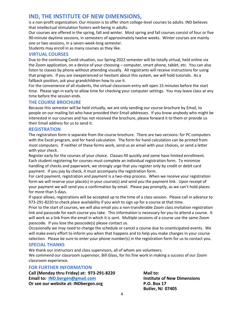## **IND, THE INSTITUTE OF NEW DIMENSIONS,**

is a non-profit organization. Our mission is to offer short college-level courses to adults. IND believes that intellectual stimulation fosters well-being in adults.

Our courses are offered in the spring, fall and winter. Most spring and fall courses consist of four or five 90-minute daytime sessions, in semesters of approximately twelve weeks. Winter courses are mainly one or two sessions, in a seven-week-long semester.

Students may enroll in as many courses as they like.

#### **VIRTUAL COURSES**

Due to the continuing Covid situation, our Spring 2022 semester will be totally virtual, held online via the Zoom application, on a device of your choosing – computer, smart phone, tablet, etc. You can also listen to classes by phone without attending visually. All registrants will receive instructions for using that program. If you are inexperienced or hesitant about this system, we will hold tutorials. As a fallback position, ask your grandchildren how to use it.

For the convenience of all students, the virtual classroom entry will open 15 minutes before the start time. Please sign in early to allow time for checking your computer settings. You may leave class at any time before the session ends.

#### **THE COURSE BROCHURE**

Because this semester will be held virtually, we are only sending our course brochure by Email, to people on our mailing list who have provided their Email addresses. If you know anybody who might be interested in our courses and has not received the brochure, please forward it to them or provide us their Email address for us to send it.

#### **REGISTRATION**

The registration form is separate from the course brochure. There are two versions: for PC computers with the Excel program, and for hand calculation. The form for hand calculation can be printed from most computers. If neither of these forms work, send us an email with your choices, or send a letter with your check.

Register early for the courses of your choice. Classes fill quickly and some have limited enrollment. Each student registering for courses must complete an individual registration form. To minimize handling of checks and paperwork, we strongly urge that you register only by credit or debit card payment. If you pay by check, it must accompany the registration form.

For card payment, registration and payment is a two-step process. When we receive your registration form we will reserve your place(s) in your course(s) and send you the payment link. Upon receipt of your payment we will send you a confirmation by email. Please pay promptly, as we can't hold places for more than 5 days.

If space allows, registrations will be accepted up to the time of a class session. Please call in advance to 973-291-8220 to check place availability if you wish to sign up for a course at that time.

Prior to the start of courses, we will also email you a non-transferable Zoom class invitation registration link and passcode for each course you take. This information is necessary for you to attend a course. It will work as a link from the email in which it is sent. Multiple sessions of a course use the same Zoom passcode. If you lose the passcode(s) please contact us.

Occasionally we may need to change the schedule or cancel a course due to unanticipated events. We will make every effort to inform you when that happens and to help you make changes in your course selection. Please be sure to enter your phone number(s) in the registration form for us to contact you.

#### **SPECIAL THANKS**

We thank our instructors and class supervisors, all of whom are volunteers. We commend our classroom supervisor, Bill Glass, for his fine work in making a success of our Zoom classroom experience.

#### **FOR FURTHER INFORMATION**

**Call (Monday thru Friday) at: 973-291-8220 Mail to: Email to: [IND.bergen@gmail.com](mailto:IND.bergen@gmail.com) Institute of New Dimensions Or see our website at: INDbergen.org P.O. Box 17** 

**Butler, NJ 07405**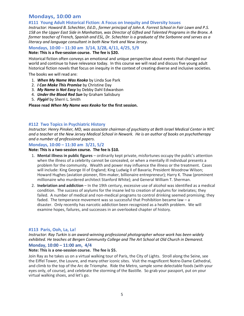#### **Mondays, 10:00 am**

#### **#111 Young Adult Historical Fiction: A Focus on Inequity and Diversity Issues**

*Instructor: Howard B. Schechter, Ed.D., former principal of John A. Forrest School in Fair Lawn and P.S. 158 on the Upper East Side in Manhattan, was Director of Gifted and Talented Programs in the Bronx. A former teacher of French, Spanish and ESL, Dr. Schechter is a graduate of the Sorbonne and serves as a literacy and language consultant in both New York and New Jersey.*

## **Mondays, 10:00 – 11:30 am 3/14, 3/28, 4/11, 4/25, 5/9**

#### **Note: This is a five-session course. The fee is \$20.**

Historical fiction often conveys an emotional and unique perspective about events that changed our world and continue to have relevance today. In this course we will read and discuss five young adult historical fiction novels that focus on inequity in the context of creating diverse and inclusive societies.

The books we will read are:

- 1. *When My Name Was Keoko* by Linda Sue Park
- 2. *I Can Make This Promise* by Christine Day
- 3. *My Name is Not Easy* by Debby Dahl Edwardson
- 4. *Under the Blood Red Sun* by Graham Salisbury
- 5. *Flygirl* by Sherri L. Smith

#### **Please read** *When My Name was Keoko* **for the first session.**

#### **#112 Two Topics in Psychiatric History**

*Instructor: Henry Pinsker, MD, was associate chairman of psychiatry at Beth Israel Medical Center in NYC and a teacher at the New Jersey Medical School in Newark. He is an author of books on psychotherapy and a number of professional papers.*

#### **Mondays, 10:00 – 11:30 am 3/21, 5/2**

#### **Note: This is a two-session course. The fee is \$10.**

- 1. **Mental illness in public figures** ordinarily kept private, misfortunes occupy the public's attention when the illness of a celebrity cannot be concealed, or when a mentally ill individual presents a problem for the community. Wealth and power may influence the illness or the treatment. Cases will include: King George III of England; King Ludwig II of Bavaria; President Woodrow Wilson; Howard Hughes (aviation pioneer, film-maker, billionaire entrepreneur); Harry K. Thaw (prominent millionaire who murdered architect Stanford White); and General William T. Sherman.
- 2. **Inebriation and addiction** In the 19th century, excessive use of alcohol was identified as a medical condition. The success of asylums for the insane led to creation of asylums for inebriates; they failed. A number of medical and non-medical programs to control drinking seemed promising; they faded. The temperance movement was so successful that Prohibition became law – a disaster. Only recently has narcotic addiction been recognized as a health problem. We will examine hopes, failures, and successes in an overlooked chapter of history.

#### **#113 Paris, Ooh, La, La!**

*Instructor: Ray Turkin is an award-winning professional photographer whose work has been widely exhibited. He teaches at Bergen Community College and The Art School at Old Church in Demarest.*

#### **Monday, 10:00 – 11:00 am, 4/4**

#### **Note: This is a one-session course. The fee is \$5.**

Join Ray as he takes us on a virtual walking tour of Paris, the City of Lights. Stroll along the Seine, see the Eiffel Tower, the Louvre, and many other iconic sites. Visit the magnificent Notre-Dame Cathedral, and climb to the top of the Arc de Triomphe. Ride the Metro, sample some delectable foods (with your eyes only, of course), and celebrate the storming of the Bastille. So grab your passport, put on your virtual walking shoes, and let's go.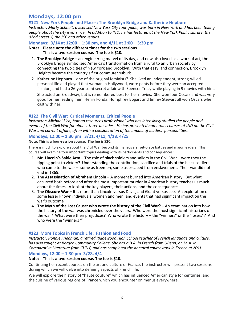#### **Mondays, 12:00 pm**

**#121 New York People and Places: The Brooklyn Bridge and Katherine Hepburn** *Instructor: Marty Schneit, a licensed New York City tour guide, was born in New York and has been telling people about the city ever since. In addition to IND, he has lectured at the New York Public Library, the* 

*92nd Street Y, the JCC and other venues.*

#### **Mondays: 3/14 at 12:00 – 1:30 pm, and 4/11 at 2:00 – 3:30 pm**

#### **Notes: Please note the different times for the two sessions. This is a two-session course. The fee is \$10.**

- 1. **The Brooklyn Bridge** an engineering marvel of its day, and now also loved as a work of art, the Brooklyn Bridge symbolized America's transformation from a rural to an urban society by connecting the two cities of New York and Brooklyn. With that easy land connection, Brooklyn Heights became the country's first commuter suburb.
- 2. **Katherine Hepburn** one of the original feminists? She lived an independent, strong-willed personal life and played that woman in Hollywood, wore pants before they were an accepted fashion, and had a 26-year semi-secret affair with Spencer Tracy while playing in 9 movies with him. She acted on Broadway, but is remembered best for her movies. She won four Oscars and was very good for her leading men: Henry Fonda, Humphrey Bogart and Jimmy Stewart all won Oscars when cast with her.

#### **#122 The Civil War: Critical Moments, Critical People**

*Instructor: Michael Sica, human resources professional who has intensively studied the people and events of the Civil War for almost three decades. He has presented numerous courses at IND on the Civil War and current affairs, often with a consideration of the impact of leaders' personalities.*

#### **Mondays, 12:00 – 1:30 pm 3/21, 4/11, 4/18, 4/25**

#### **Note: This is a four-session course. The fee is \$20.**

There is much to explore about the Civil War beyond its maneuvers, set-piece battles and major leaders. This course will examine four important topics dealing with its participants and consequences:

- 1. **Mr. Lincoln's Sable Arm –** The role of black soldiers and sailors in the Civil War were they the tipping point to victory? Understanding the contribution, sacrifice and trials of the black soldiers who came to the war – some as freemen, some as escaped from enslavement. Their war did not end in 1865.
- 2. **The Assassination of Abraham Lincoln –** A moment burned into American history. But what occurred both before and after the most important murder in American history teaches us much about the times. A look at the key players, their actions, and the consequences.
- 3. T**he Obscure War –** It is more than Lincoln versus Davis, and Grant versus Lee. An exploration of some lesser known individuals, women and men, and events that had significant impact on the war's outcome*.*
- 4. **The Myth of the Lost Cause: who wrote the history of the Civil War? –** An examination into how the history of the war was chronicled over the years. Who were the most significant historians of the war? What were their prejudices? Who wrote the history – the "winners" or the "losers"? And who were the "winners?"

#### **#123 More Topics in French Life: Fashion and Food**

*Instructor: Ronnie Friedman, a retired Ridgewood High School teacher of French language and culture, has also taught at Bergen Community College. She has a B.A. in French from UPenn, an M.A. in Comparative Literature from CUNY, and has completed the doctoral coursework in French at NYU.* 

#### **Mondays, 12:00 – 1:30 pm 3/28, 4/4**

#### **Note: This is a two-session course. The fee is \$10.**

Continuing her recent courses on the art and culture of France, the instructor will present two sessions during which we will delve into defining aspects of French life.

We will explore the history of "haute couture" which has influenced American style for centuries, and the cuisine of various regions of France which you encounter on menus everywhere.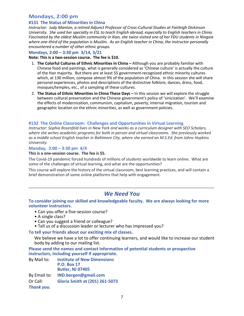### **Mondays, 2:00 pm**

#### **#131 The Status of Minorities in China**

*Instructor: Judy Manton, a retired Adjunct Professor of Cross-Cultural Studies at Fairleigh Dickinson University. She used her specialty in ESL to teach English abroad, especially to English teachers in China. Fascinated by the oldest Muslim community in Xian, she twice visited one of her FDU students in Ningxia where one-third of the population is Muslim. As an English teacher in China, the instructor personally encountered a number of other ethnic groups.*

#### **Mondays, 2:00 – 3:30 pm 3/14, 3/21**

**Note: This is a two-session course. The fee is \$10.**

- 1. **The Colorful Cultures of Ethnic Minorities in China –** Although you are probably familiar with Chinese food and paintings, what is generally considered as 'Chinese culture' is actually the culture of the Han majority. But there are at least 55 government-recognized ethnic minority cultures which, at 130 million, compose almost 9% of the population of China. In this session she will share personal experiences, photos and descriptions of the distinctive folklore, dances, dress, food, mosques/temples, etc., of a sampling of these cultures.
- 2. **The Status of Ethnic Minorities in China These Days In this session we will explore the struggle** between cultural preservation and the Chinese government's policy of 'sinicization'. We'll examine the effects of modernization, communism, capitalism, poverty, internal migration, tourism and geographic location on the ethnic minorities, as well as government policies.

#### **#132 The Online Classroom: Challenges and Opportunities in Virtual Learning**

*Instructor*: *Sophia Rosenfeld lives in New York and works as a curriculum designer with SEO Scholars, where she writes academic programs for both in person and virtual classrooms. She previously worked as a middle school English teacher in Baltimore City, where she earned an M.S.Ed. from Johns Hopkins University.*

#### **Monday, 2:00 – 3:30 pm 4/4**

#### **This is a one-session course. The fee is \$5.**

The Covid-19 pandemic forced hundreds of millions of students worldwide to learn online. What are some of the challenges of virtual learning, and what are the opportunities?

This course will explore the history of the virtual classroom, best learning practices, and will contain a brief demonstration of some online platforms that help with engagement.

## *We Need You*

\_\_\_\_\_\_\_\_\_\_\_\_\_\_\_\_\_\_\_\_\_\_\_\_\_\_\_\_\_\_\_\_\_\_\_\_\_\_\_\_\_\_\_\_\_\_\_\_\_\_\_\_\_\_\_\_\_\_\_\_\_\_\_\_\_\_\_\_\_\_\_\_\_\_\_\_\_\_\_\_\_\_\_\_\_

**To consider joining our skilled and knowledgeable faculty. We are always looking for more volunteer instructors.** 

- Can you offer a five-session course?
- A single class?
- Can you suggest a friend or colleague?
- Tell us of a discussion leader or lecturer who has impressed you?

#### **To tell your friends about our exciting mix of classes.**

We believe we have a lot to offer continuing learners, and would like to increase our student body by adding to our mailing list.

**Please send the names and contact information of potential students or prospective instructors, including yourself if appropriate.** 

| By Mail to:  | <b>Institute of New Dimensions</b>    |
|--------------|---------------------------------------|
|              | <b>P.O. Box 17</b>                    |
|              | <b>Butler, NJ 07405</b>               |
| By Email to: | IND.bergen@gmail.com                  |
| Or Call:     | <b>Gloria Smith at (201) 261-5073</b> |
| Thank you.   |                                       |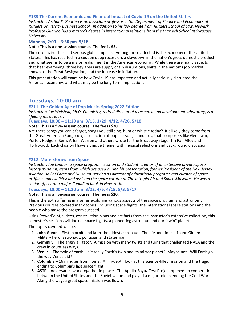#### **#133 The Current Economic and Financial Impact of Covid-19 on the United States**

*Instructor: Arthur S. Guarino is an associate professor in the Department of Finance and Economics at Rutgers University Business School. In addition to his law degree from Rutgers School of Law, Newark, Professor Guarino has a master's degree in international relations from the Maxwell School at Syracuse University.*

#### **Monday, 2:00 – 3:30 pm 5/16**

#### **Note: This is a one-session course. The fee is \$5.**

The coronavirus has had serious global impacts. Among those affected is the economy of the United States. This has resulted in a sudden deep recession, a slowdown in the nation's gross domestic product and what seems to be a major realignment in the American economy. While there are many aspects that bear examining, three key areas are supply chain disruptions, shifts in the nation's job market known as the Great Resignation, and the increase in inflation.

This presentation will examine how Covid-19 has impacted and actually seriously disrupted the American economy, and what may be the long-term implications.

#### **Tuesdays, 10:00 am**

#### **#211 The Golden Age of Pop Music, Spring 2022 Edition**

*Instructor: Joe Weisfeld, Ph.D. Chemistry, retired director of a research and development laboratory, is a lifelong music lover.*

#### **Tuesdays, 10:00 – 11:30 am 3/15, 3/29, 4/12, 4/26, 5/10**

#### **Note: This is a five-session course. The fee is \$20.**

Are there songs you can't forget, songs you still sing. hum or whistle today? It's likely they come from the Great American Songbook, a collection of popular song standards, that composers like Gershwin, Porter, Rodgers, Kern, Arlen, Warren and others wrote for the Broadway stage, Tin Pan Alley and Hollywood. Each class will have a unique theme, with musical selections and background discussion.

#### **#212 More Stories from Space**

*Instructor: Joe Lennox, a space program historian and student; creator of an extensive private space history museum, items from which are used during his presentation; former President of the New Jersey Aviation Hall of Fame and Museum, serving as director of educational programs and curator of space artifacts and exhibits; and assisted the space curator at The Intrepid Air and Space Museum. He was a senior officer at a major Canadian bank in New York.* 

#### **Tuesdays, 10:00 – 11:30 am 3/22, 4/5, 4/19, 5/3, 5/17**

#### **Note: This is a five-session course. The fee is \$20.**

This is the sixth offering in a series exploring various aspects of the space program and astronomy. Previous courses covered many topics, including space flights, the international space stations and the people who make the program succeed.

Using PowerPoint, videos, construction plans and artifacts from the instructor's extensive collection, this semester's sessions will look at space flights, a pioneering astronaut and our "twin" planet.

The topics covered will be:

- 1. **John Glenn** First in orbit, and later the oldest astronaut. The life and times of John Glenn: Military hero, astronaut, politician and statesman.
- 2. **Gemini 9** The angry alligator. A mission with many twists and turns that challenged NASA and the crew in countless ways.
- 3. **Venus** The twin of earth. Is it really Earth's twin and its mirror planet? Maybe not. Will Earth go the way Venus did?
- 4. **Columbia** 16 minutes from home. An in-depth look at this science-filled mission and the tragic ending to Columbia's last space flight.
- 5. **ASTP** Adversaries work together in peace. The Apollo-Soyuz Test Project opened up cooperation between the United States and the Soviet Union and played a major role in ending the Cold War. Along the way, a great space mission was flown.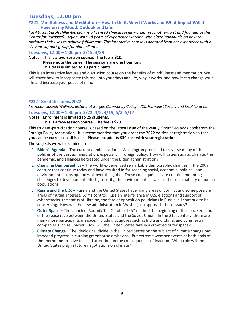### **Tuesdays, 12:00 pm**

#### **#221 Mindfulness and Meditation – How to Do It, Why It Works and What Impact Will it Have on my Mood, Outlook and Life.**

*Facilitator: Sarah Hiller-Bersson, is a licensed clinical social worker, psychotherapist and founder of the Center for Purposeful Aging, with 18 years of experience working with older individuals on how to optimize their lives to achieve fulfillment. This interactive course is adapted from her experience with a six-year support group for older clients.*

**Tuesdays, 12:00 – 1:00 pm 3/15, 3/29**

#### **Notes: This is a two-session course. The fee is \$10. Please note the times: The sessions are one hour long. This class is limited to 19 participants.**

This is an interactive lecture and discussion course on the benefits of mindfulness and meditation. We will cover how to incorporate this tool into your days and life, why it works, and how it can change your life and increase your peace of mind.

#### **#222 Great Decisions, 2022**

*Instructor: Joseph Walinski, lecturer at Bergen Community College, JCC, Humanist Society and local libraries.* **Tuesdays, 12:00 – 1:30 pm 3/22, 4/5, 4/19, 5/3, 5/17**

#### **Notes: Enrollment is limited to 25 students.**

**This is a five-session course. The fee is \$20.**

This student-participation course is based on the latest issue of the yearly *Great Decisions* book from the Foreign Policy Association. It is recommended that you order the 2022 edition at registration so that you can be current on all issues. **Please include its \$30 cost with your registration.**

The subjects we will examine are:

- 1. **[Biden's Agenda](https://www.fpa.org/great_decisions/index.cfm?act=topic_detail&topic_id=107)** The current administration in Washington promised to reverse many of the policies of the past administration, especially in foreign policy. How will issues such as climate, the pandemic, and alliances be treated under the Biden administration?
- 2. **[Changing Demographics](https://www.fpa.org/great_decisions/index.cfm?act=topic_detail&topic_id=108)** The world experienced remarkable demographic changes in the 20th century that continue today and have resulted in far-reaching social, economic, political, and environmental consequences all over the globe. These consequences are creating mounting challenges to development efforts, security, the environment, as well as the sustainability of human populations.
- 3. **[Russia and the U.S.](https://www.fpa.org/great_decisions/index.cfm?act=topic_detail&topic_id=102)** Russia and the United States have many areas of conflict and some possible areas of mutual interest. Arms control, Russian interference in U.S. elections and support of cyberattacks, the status of Ukraine, the fate of opposition politicians in Russia, all continue to be concerning. How will the new administration in Washington approach these issues?
- 4. **[Outer Space](https://www.fpa.org/great_decisions/index.cfm?act=topic_detail&topic_id=100)** The launch of Sputnik 1 in October 1957 marked the beginning of the space era and of the space race between the United States and the Soviet Union. In the 21st century, there are many more participants in space, including countries such as India and China, and commercial companies such as SpaceX. How will the United States fare in a crowded outer space?
- 5. **[Climate Change](https://www.fpa.org/great_decisions/index.cfm?act=topic_detail&topic_id=101)** The ideological divide in the United States on the subject of climate change has impeded progress in curbing greenhouse emissions. But extreme weather events at both ends of the thermometer have focused attention on the consequences of inaction. What role will the United States play in future negotiations on climate?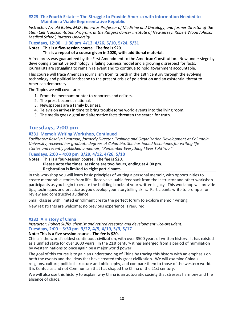#### **#223 The Fourth Estate – The Struggle to Provide America with Information Needed to Maintain a Viable Representative Republic**

*Instructor: Arnold Rubin, M.D., Emeritus Professor of Medicine and Oncology, and former Director of the Stem Cell Transplantation Program, at the Rutgers Cancer Institute of New Jersey, Robert Wood Johnson Medical School, Rutgers University.*

#### **Tuesdays, 12:00 – 1:30 pm 4/12, 4/26, 5/10, 5/24, 5/31**

#### **Notes: This is a five-session course. The fee is \$20.**

#### **This is a repeat of a course given in 2020, with additional material.**

A free press was guaranteed by the First Amendment to the American Constitution. Now under siege by developing alternative technology, a failing business model and a growing disrespect for facts, journalists are struggling to remain relevant and to continue to hold government accountable.

This course will trace American journalism from its birth in the 18th century through the evolving technology and political landscape to the present crisis of polarization and an existential threat to American democracy.

The Topics we will cover are:

- 1. From the merchant printer to reporters and editors.
- 2. The press becomes national.
- 3. Newspapers are a family business.
- 4. Television arrives in time to bring troublesome world events into the living room.
- 5. The media goes digital and alternative facts threaten the search for truth.

#### **Tuesdays, 2:00 pm**

#### **#231 Memoir Writing Workshop, Continued**

*Facilitator: Rosalyn Hantman, formerly Director, Training and Organization Development at Columbia University, received her graduate degrees at Columbia. She has honed techniques for writing life stories and recently published a memoir, "Remember Everything I Ever Told You."*

#### **Tuesdays, 2:00 – 4:00 pm 3/29, 4/12, 4/26, 5/10**

**Notes: This is a four-session course. The fee is \$20.**

#### **Please note the times: sessions are two hours, ending at 4:00 pm. Registration is limited to eight participants.**

In this workshop you will learn basic principles of writing a personal memoir, with opportunities to create memorable stories from life. Receive valuable feedback from the instructor and other workshop participants as you begin to create the building blocks of your written legacy. This workshop will provide tips, techniques and practice as you develop your storytelling skills. Participants write to prompts for review and constructive guidance.

Small classes with limited enrollment create the perfect forum to explore memoir writing.

New registrants are welcome; no previous experience is required.

#### **#232 A History of China**

*Instructor: Robert Suffis, chemist and retired research and development vice-president.* **Tuesdays, 2:00 – 3:30 pm 3/22, 4/5, 4/19, 5/3, 5/17**

#### **Note: This is a five-session course. The fee is \$20.**

China is the world's oldest continuous civilization, with over 3500 years of written history. It has existed as a unified state for over 2000 years. In the 21st century it has emerged from a period of humiliation by western nations to once again be a major world power.

The goal of this course is to gain an understanding of China by tracing this history with an emphasis on both the events and the ideas that have created this great civilization. We will examine China's religions, culture, political structure and philosophy, and compare them to those of the western world. It is Confucius and not Communism that has shaped the China of the 21st century.

We will also use this history to explain why China is an autocratic society that stresses harmony and the absence of chaos.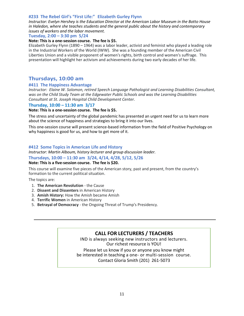#### **#233 The Rebel Girl's "First Life:" Elizabeth Gurley Flynn**

*Instructor: Evelyn Hershey is the Education Director at the American Labor Museum in the Botto House in Haledon, where she teaches students and the general public about the history and contemporary issues of workers and the labor movement.*

#### **Tuesday, 2:00 – 3:30 pm 5/24**

#### **Note: This is a one-session course. The fee is \$5.**

Elizabeth Gurley Flynn (1890 – 1964) was a labor leader, activist and feminist who played a leading role in the Industrial Workers of the World (IWW). She was a founding member of the American Civil Liberties Union and a visible proponent of women's rights, birth control and women's suffrage. This presentation will highlight her activism and achievements during two early decades of her life.

#### **Thursdays, 10:00 am**

#### **#411 The Happiness Advantage**

*Instructor: Elaine W. Solomon, retired Speech Language Pathologist and Learning Disabilities Consultant, was on the Child Study Team at the Edgewater Public Schools and was the Learning Disabilities Consultant at St. Joseph Hospital Child Development Center.*

#### **Thursday, 10:00 – 11:30 am 3/17**

#### **Note: This is a one-session course. The fee is \$5.**

The stress and uncertainty of the global pandemic has presented an urgent need for us to learn more about the science of happiness and strategies to bring it into our lives.

This one-session course will present science-based information from the field of Positive Psychology on why happiness is good for us, and how to get more of it.

#### **#412 Some Topics in American Life and History**

*Instructor: Martin Alboum, history lecturer and group discussion leader.*

**Thursdays, 10:00 – 11:30 am 3/24, 4/14, 4/28, 5/12, 5/26**

#### **Note: This is a five-session course. The fee is \$20.**

This course will examine five pieces of the American story, past and present, from the country's formation to the current political situation.

The topics are:

- 1. **The American Revolution** the Cause
- 2. **Dissent and Dissenters** in American History
- 3. **Amish History:** How the Amish became Amish
- 4. **Terrific Women** in American History
- 5. **Betrayal of Democracy** the Ongoing Threat of Trump's Presidency.

#### **CALL FOR LECTURERS / TEACHERS**

IND is always seeking new instructors and lecturers. Our richest resource is YOU! Please let us know if you or anyone you know might be interested in teaching a one- or multi-session course. Contact Gloria Smith (201) 261-5073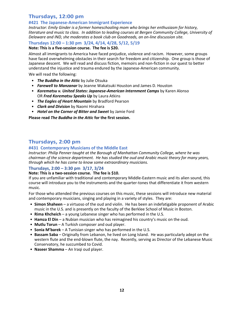## **Thursdays, 12:00 pm**

#### **#421 The Japanese-American Immigrant Experience**

*Instructor: Emily Ginder is a former homeschooling mom who brings her enthusiasm for history, literature and music to class. In addition to leading courses at Bergen Community College, University of Delaware and IND, she moderates a book club on Goodreads, an on-line discussion site.*

#### **Thursdays 12:00 – 1:30 pm 3/24, 4/14, 4/28, 5/12, 5/19**

#### **Note: This is a five-session course. The fee is \$20.**

Almost all immigrants to America have faced prejudice, violence and racism. However, some groups have faced overwhelming obstacles in their search for freedom and citizenship. One group is those of Japanese descent. We will read and discuss fiction, memoirs and non-fiction in our quest to better understand the injustice and trauma endured by the Japanese-American community.

We will read the following:

- *The Buddha in the Attic* by Julie Otsuka
- *Farewell to Manzanar* by Jeanne Wakatsuki Houston and James D. Houston
- *Korematsu v. United States: Japanese-American Internment Camps* by Karen Alonso OR *Fred Korematsu Speaks Up* by Laura Atkins
- *The Eagles of Heart Mountain* by Bradford Pearson
- *Clark and Division* by Naomi Hirahara
- *Hotel on the Corner of Bitter and Sweet* by Jamie Ford

**Please read** *The Buddha in the Attic* **for the first session.**

## **Thursdays, 2:00 pm**

#### **#431 Contemporary Musicians of the Middle East**

*Instructor: Philip Penner taught at the Borough of Manhattan Community College, where he was chairman of the science department. He has studied the oud and Arabic music theory for many years, through which he has come to know some extraordinary musicians.*

#### **Thursdays, 2:00 – 3:30 pm 3/17, 3/24**

#### **Note: This is a two-session course. The fee is \$10.**

If you are unfamiliar with traditional and contemporary Middle-Eastern music and its alien sound, this course will introduce you to the instruments and the quarter-tones that differentiate it from western music.

For those who attended the previous courses on this music, these sessions will introduce new material and contemporary musicians, singing and playing in a variety of styles. They are:

- **Simon Shaheen** a virtuoso of the oud and violin. He has been an indefatigable proponent of Arabic music in the U.S. and is presently on the faculty of the Berklee School of Music in Boston.
- **Rima Khcheich** a young Lebanese singer who has performed in the U.S.
- **Hamza El Din** a Nubian musician who has reimagined his country's music on the oud.
- **Mutlu Torun** A Turkish composer and oud player.
- **Sonia M'barek** A Tunisian singer who has performed in the U.S.
- **Bassam Saba** Originally from Lebanon, he lived on Long Island. He was particularly adept on the western flute and the end-blown flute, the nay. Recently, serving as Director of the Lebanese Music Conservatory, he succumbed to Covid.
- **Naseer Shamma** An Iraqi oud player.